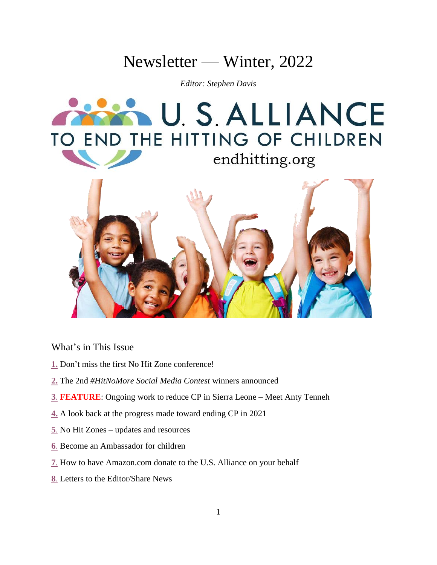# Newsletter — Winter, 2022

*Editor: Stephen Davis*





# What's in This Issue

- **[1.](#page-1-0)** Don't miss the first No Hit Zone conference!
- **[2.](#page-1-1)** The 2nd *#HitNoMore Social Media Contest* winners announced
- **[3](#page-2-0)**. **FEATURE**: Ongoing work to reduce CP in Sierra Leone Meet Anty Tenneh
- **[4.](#page-4-0)** A look back at the progress made toward ending CP in 2021
- **[5](#page-6-0)**. No Hit Zones updates and resources
- **[6](#page-6-1)**. Become an Ambassador for children
- **[7](#page-7-0)**. How to have Amazon.com donate to the U.S. Alliance on your behalf
- **[8](#page-7-1)**. Letters to the Editor/Share News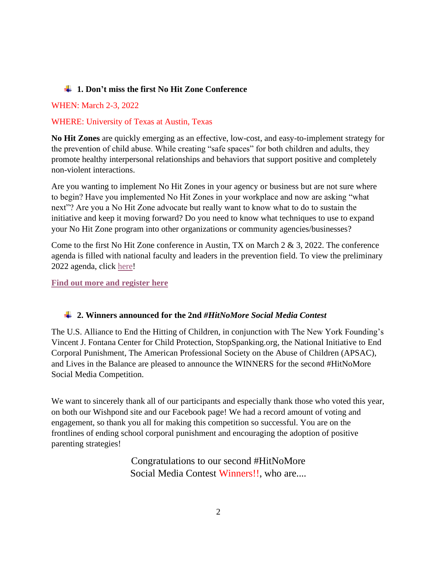## <span id="page-1-0"></span>**1. Don't miss the first No Hit Zone Conference**

## WHEN: March 2-3, 2022

## WHERE: University of Texas at Austin, Texas

**No Hit Zones** are quickly emerging as an effective, low-cost, and easy-to-implement strategy for the prevention of child abuse. While creating "safe spaces" for both children and adults, they promote healthy interpersonal relationships and behaviors that support positive and completely non-violent interactions.

Are you wanting to implement No Hit Zones in your agency or business but are not sure where to begin? Have you implemented No Hit Zones in your workplace and now are asking "what next"? Are you a No Hit Zone advocate but really want to know what to do to sustain the initiative and keep it moving forward? Do you need to know what techniques to use to expand your No Hit Zone program into other organizations or community agencies/businesses?

Come to the first No Hit Zone conference in Austin, TX on March 2 & 3, 2022. The conference agenda is filled with national faculty and leaders in the prevention field. To view the preliminary 2022 agenda, click [here!](https://docs.google.com/document/d/1fcUMQmxLLLlgigQabW7Vid1g6LTQkLmh/edit)

**[Find out more and register here](https://www.eventbrite.com/e/the-energizing-no-hit-zones-conference-march-2-and-3-2022-tickets-155673075359)**

### <span id="page-1-1"></span>**2. Winners announced for the 2nd** *#HitNoMore Social Media Contest*

The U.S. Alliance to End the Hitting of Children, in conjunction with The New York Founding's Vincent J. Fontana Center for Child Protection, StopSpanking.org, the National Initiative to End Corporal Punishment, The American Professional Society on the Abuse of Children (APSAC), and Lives in the Balance are pleased to announce the WINNERS for the second #HitNoMore Social Media Competition.

We want to sincerely thank all of our participants and especially thank those who voted this year, on both our Wishpond site and our Facebook page! We had a record amount of voting and engagement, so thank you all for making this competition so successful. You are on the frontlines of ending school corporal punishment and encouraging the adoption of positive parenting strategies!

> Congratulations to our second #HitNoMore Social Media Contest Winners!!, who are....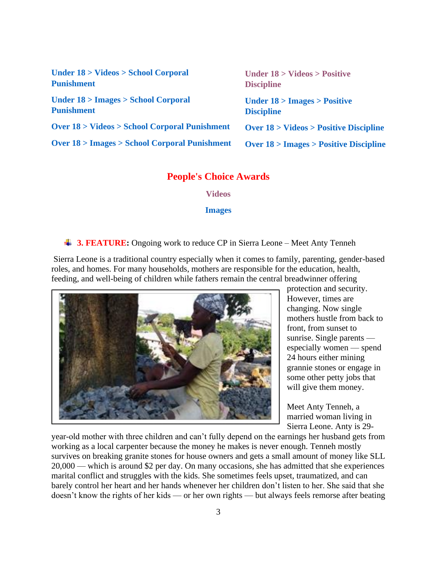| Under 18 > Videos > School Corporal                        | Under $18 > V$ ideos > Positive                     |
|------------------------------------------------------------|-----------------------------------------------------|
| <b>Punishment</b>                                          | <b>Discipline</b>                                   |
| Under $18 >$ Images $>$ School Corporal                    | Under $18 >$ Images $>$ Positive                    |
| <b>Punishment</b>                                          | <b>Discipline</b>                                   |
| <b>Over 18 &gt; Videos &gt; School Corporal Punishment</b> | <b>Over 18 &gt; Videos &gt; Positive Discipline</b> |
| <b>Over 18 &gt; Images &gt; School Corporal Punishment</b> | Over $18$ > Images > Positive Discipline            |

## **People's Choice Awards**

**[Videos](https://drive.google.com/file/d/1IF2agXcNNnieaaDMPVxqsNh32AcVzTGV/view?usp=sharing)**

**[Images](https://drive.google.com/file/d/1d95YSnbKDjTOb-RxKKeZIqM7Rik0_QfE/view?usp=sharing)**

#### <span id="page-2-0"></span>**4 3. FEATURE:** Ongoing work to reduce CP in Sierra Leone – Meet Anty Tenneh

Sierra Leone is a traditional country especially when it comes to family, parenting, gender-based roles, and homes. For many households, mothers are responsible for the education, health, feeding, and well-being of children while fathers remain the central breadwinner offering



protection and security. However, times are changing. Now single mothers hustle from back to front, from sunset to sunrise. Single parents especially women — spend 24 hours either mining grannie stones or engage in some other petty jobs that will give them money.

Meet Anty Tenneh, a married woman living in Sierra Leone. Anty is 29-

year-old mother with three children and can't fully depend on the earnings her husband gets from working as a local carpenter because the money he makes is never enough. Tenneh mostly survives on breaking granite stones for house owners and gets a small amount of money like SLL 20,000 — which is around \$2 per day. On many occasions, she has admitted that she experiences marital conflict and struggles with the kids. She sometimes feels upset, traumatized, and can barely control her heart and her hands whenever her children don't listen to her. She said that she doesn't know the rights of her kids — or her own rights — but always feels remorse after beating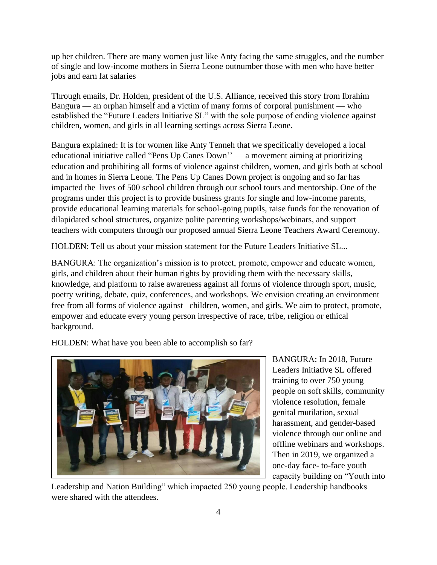up her children. There are many women just like Anty facing the same struggles, and the number of single and low-income mothers in Sierra Leone outnumber those with men who have better jobs and earn fat salaries

Through emails, Dr. Holden, president of the U.S. Alliance, received this story from Ibrahim Bangura — an orphan himself and a victim of many forms of corporal punishment — who established the "Future Leaders Initiative SL" with the sole purpose of ending violence against children, women, and girls in all learning settings across Sierra Leone.

Bangura explained: It is for women like Anty Tenneh that we specifically developed a local educational initiative called "Pens Up Canes Down'' — a movement aiming at prioritizing education and prohibiting all forms of violence against children, women, and girls both at school and in homes in Sierra Leone. The Pens Up Canes Down project is ongoing and so far has impacted the lives of 500 school children through our school tours and mentorship. One of the programs under this project is to provide business grants for single and low-income parents, provide educational learning materials for school-going pupils, raise funds for the renovation of dilapidated school structures, organize polite parenting workshops/webinars, and support teachers with computers through our proposed annual Sierra Leone Teachers Award Ceremony.

HOLDEN: Tell us about your mission statement for the Future Leaders Initiative SL...

BANGURA: The organization's mission is to protect, promote, empower and educate women, girls, and children about their human rights by providing them with the necessary skills, knowledge, and platform to raise awareness against all forms of violence through sport, music, poetry writing, debate, quiz, conferences, and workshops. We envision creating an environment free from all forms of violence against children, women, and girls. We aim to protect, promote, empower and educate every young person irrespective of race, tribe, religion or ethical background.

HOLDEN: What have you been able to accomplish so far?



BANGURA: In 2018, Future Leaders Initiative SL offered training to over 750 young people on soft skills, community violence resolution, female genital mutilation, sexual harassment, and gender-based violence through our online and offline webinars and workshops. Then in 2019, we organized a one-day face- to-face youth capacity building on "Youth into

Leadership and Nation Building" which impacted 250 young people. Leadership handbooks were shared with the attendees.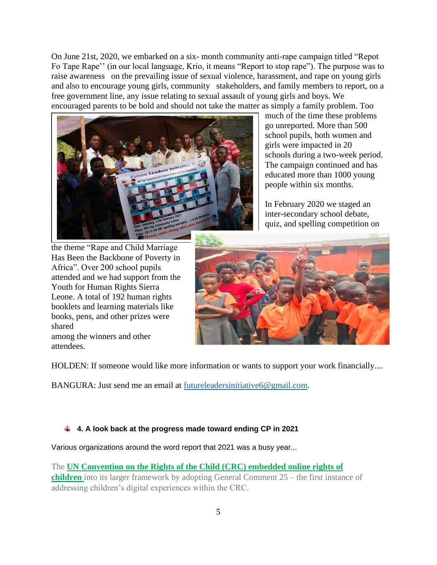On June 21st, 2020, we embarked on a six- month community anti-rape campaign titled "Repot Fo Tape Rape'' (in our local language, Krio, it means "Report to stop rape"). The purpose was to raise awareness on the prevailing issue of sexual violence, harassment, and rape on young girls and also to encourage young girls, community stakeholders, and family members to report, on a free government line, any issue relating to sexual assault of young girls and boys. We encouraged parents to be bold and should not take the matter as simply a family problem. Too



much of the time these problems go unreported. More than 500 school pupils, both women and girls were impacted in 20 schools during a two-week period. The campaign continued and has educated more than 1000 young people within six months.

In February 2020 we staged an inter-secondary school debate, quiz, and spelling competition on

the theme "Rape and Child Marriage Has Been the Backbone of Poverty in Africa". Over 200 school pupils attended and we had support from the Youth for Human Rights Sierra Leone. A total of 192 human rights booklets and learning materials like books, pens, and other prizes were shared among the winners and other attendees.



HOLDEN: If someone would like more information or wants to support your work financially....

BANGURA: Just send me an email at [futureleadersinitiative6@gmail.com.](mailto:futureleadersinitiative6@gmail.com)

#### <span id="page-4-0"></span>**4. A look back at the progress made toward ending CP in 2021**

Various organizations around the word report that 2021 was a busy year...

The **[UN Convention on the Rights of the Child \(CRC\) embedded online rights of](https://deref-mail.com/mail/client/cp2dEif5_j0/dereferrer/?redirectUrl=https%3A%2F%2Fend-violence.us12.list-manage.com%2Ftrack%2Fclick%3Fu%3D71bd9ea56bbca248596b57d79%26id%3D64526af049%26e%3Dcfd2943ee9)  [children](https://deref-mail.com/mail/client/cp2dEif5_j0/dereferrer/?redirectUrl=https%3A%2F%2Fend-violence.us12.list-manage.com%2Ftrack%2Fclick%3Fu%3D71bd9ea56bbca248596b57d79%26id%3D64526af049%26e%3Dcfd2943ee9)** into its larger framework by adopting General Comment 25 – the first instance of addressing children's digital experiences within the CRC.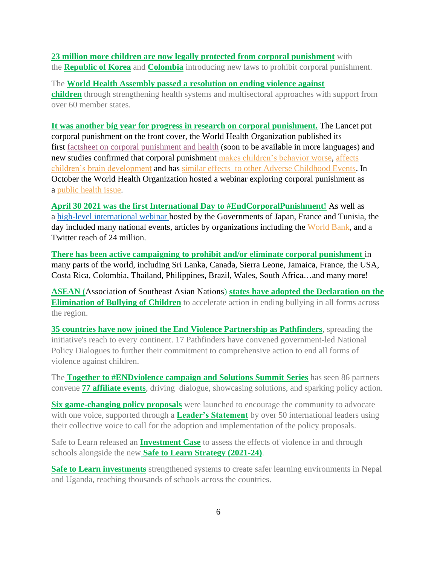## **[23 million more children are now legally protected from corporal punishment](https://deref-mail.com/mail/client/w1AebzowQ5Q/dereferrer/?redirectUrl=https%3A%2F%2Fend-violence.us12.list-manage.com%2Ftrack%2Fclick%3Fu%3D71bd9ea56bbca248596b57d79%26id%3D63c5c5b40a%26e%3Dcfd2943ee9)** with the **[Republic of Korea](https://deref-mail.com/mail/client/oYZTDB8B1dk/dereferrer/?redirectUrl=https%3A%2F%2Fend-violence.us12.list-manage.com%2Ftrack%2Fclick%3Fu%3D71bd9ea56bbca248596b57d79%26id%3D756ec0fe1a%26e%3Dcfd2943ee9)** and **[Colombia](https://deref-mail.com/mail/client/lR3ljCBPWtg/dereferrer/?redirectUrl=https%3A%2F%2Fend-violence.us12.list-manage.com%2Ftrack%2Fclick%3Fu%3D71bd9ea56bbca248596b57d79%26id%3Df852f1e247%26e%3Dcfd2943ee9)** introducing new laws to prohibit corporal punishment.

The **[World Health Assembly passed a resolution on ending violence against](https://deref-mail.com/mail/client/8iKp9N8q8e0/dereferrer/?redirectUrl=https%3A%2F%2Fend-violence.us12.list-manage.com%2Ftrack%2Fclick%3Fu%3D71bd9ea56bbca248596b57d79%26id%3Da2e08472e9%26e%3Dcfd2943ee9)  [children](https://deref-mail.com/mail/client/8iKp9N8q8e0/dereferrer/?redirectUrl=https%3A%2F%2Fend-violence.us12.list-manage.com%2Ftrack%2Fclick%3Fu%3D71bd9ea56bbca248596b57d79%26id%3Da2e08472e9%26e%3Dcfd2943ee9)** through strengthening health systems and multisectoral approaches with support from over 60 member states.

**It was another big year for progress in research on corporal punishment.** The Lancet put corporal punishment on the front cover, the World Health Organization published its first [factsheet on corporal punishment and health](https://www.who.int/news-room/fact-sheets/detail/corporal-punishment-and-health) (soon to be available in more languages) and new studies confirmed that corporal punishment [makes children's behavior worse,](https://www.end-violence.org/articles/corporal-punishment-study) [affects](https://www.end-violence.org/articles/landmark-study-shows-spanking-alters-childrens-brain-development)  [children's brain development](https://www.end-violence.org/articles/landmark-study-shows-spanking-alters-childrens-brain-development) and has [similar effects to other Adverse Childhood Events.](https://www.end-violence.org/articles/new-study-shows-spanking-has-similar-effects-kids-adverse-childhood-experiences) In October the World Health Organization hosted a webinar exploring corporal punishment as a [public health issue.](https://www.youtube.com/watch?v=0aw8caswKjE&t=4707s)

**April 30 2021 was the first International Day to #EndCorporalPunishment!** As well as a [high-level international webinar](https://www.youtube.com/watch?v=D01r_xuICaE&t=4127s) hosted by the Governments of Japan, France and Tunisia, the day included many national events, articles by organizations including the [World Bank,](https://blogs.worldbank.org/education/unacceptable-and-intolerable-reality-corporal-punishment-children-and-youth) and a Twitter reach of 24 million.

**There has been active campaigning to prohibit and/or eliminate corporal punishment** in many parts of the world, including Sri Lanka, Canada, Sierra Leone, Jamaica, France, the USA, Costa Rica, Colombia, Thailand, Philippines, Brazil, Wales, South Africa…and many more!

**ASEAN (**Association of Southeast Asian Nations) **[states have adopted the Declaration on the](https://asean.org/declaration-on-the-elimination-of-bullying-of-children-in-asean/)  [Elimination of Bullying of Children](https://asean.org/declaration-on-the-elimination-of-bullying-of-children-in-asean/)** to accelerate action in ending bullying in all forms across the region.

**[35 countries have now joined the End Violence Partnership as Pathfinders](https://www.end-violence.org/pathfinding-countries)**, spreading the initiative's reach to every continent. 17 Pathfinders have convened government-led National Policy Dialogues to further their commitment to comprehensive action to end all forms of violence against children.

The **[Together to #ENDviolence campaign and Solutions Summit Series](https://www.end-violence.org/together-to-end-violence-campaign)** has seen 86 partners convene **[77 affiliate events](https://www.end-violence.org/affiliate-events-together)**, driving dialogue, showcasing solutions, and sparking policy action.

**[Six game-changing policy proposals](https://www.end-violence.org/policy-proposals)** were launched to encourage the community to advocate with one voice, supported through a **[Leader's Statement](https://www.end-violence.org/together-endviolence-leaders-statement#the-statement)** by over 50 international leaders using their collective voice to call for the adoption and implementation of the policy proposals.

Safe to Learn released an **[Investment Case](https://www.end-violence.org/stl-investment-case-strategy-launch#:~:text=Investment%20case%20and%20a%20new%20strategy%20are%20launched,staff%20and%20a%20new%20Safe%20to%20Learn%20strategy.)** to assess the effects of violence in and through schools alongside the new **[Safe to Learn Strategy \(2021-24\)](https://www.end-violence.org/sites/default/files/2021-07/compressed.pdf)**.

**[Safe to Learn investments](https://www.end-violence.org/articles/five-organisations-awarded-end-violence-funding-keep-children-safe-learn)** strengthened systems to create safer learning environments in Nepal and Uganda, reaching thousands of schools across the countries.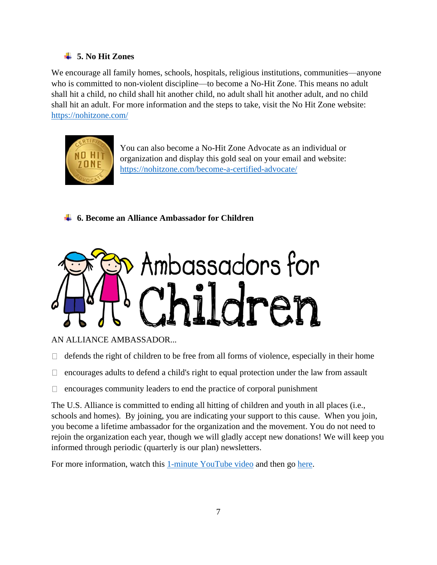# <span id="page-6-0"></span>**5. No Hit Zones**

We encourage all family homes, schools, hospitals, religious institutions, communities—anyone who is committed to non-violent discipline—to become a No-Hit Zone. This means no adult shall hit a child, no child shall hit another child, no adult shall hit another adult, and no child shall hit an adult. For more information and the steps to take, visit the No Hit Zone website: <https://nohitzone.com/>



You can also become a No-Hit Zone Advocate as an individual or organization and display this gold seal on your email and website: <https://nohitzone.com/become-a-certified-advocate/>

<span id="page-6-1"></span>**6. Become an Alliance Ambassador for Children**



AN ALLIANCE AMBASSADOR...

 $\Box$  defends the right of children to be free from all forms of violence, especially in their home

- $\Box$  encourages adults to defend a child's right to equal protection under the law from assault
- $\Box$  encourages community leaders to end the practice of corporal punishment

The U.S. Alliance is committed to ending all hitting of children and youth in all places (i.e., schools and homes). By joining, you are indicating your support to this cause. When you join, you become a lifetime ambassador for the organization and the movement. You do not need to rejoin the organization each year, though we will gladly accept new donations! We will keep you informed through periodic (quarterly is our plan) newsletters.

For more information, watch this [1-minute YouTube video](https://www.youtube.com/watch?v=0va1OWqM-bQ) and then go [here.](https://usalliancetoendthehittingofchildren.wildapricot.org/Join-us)